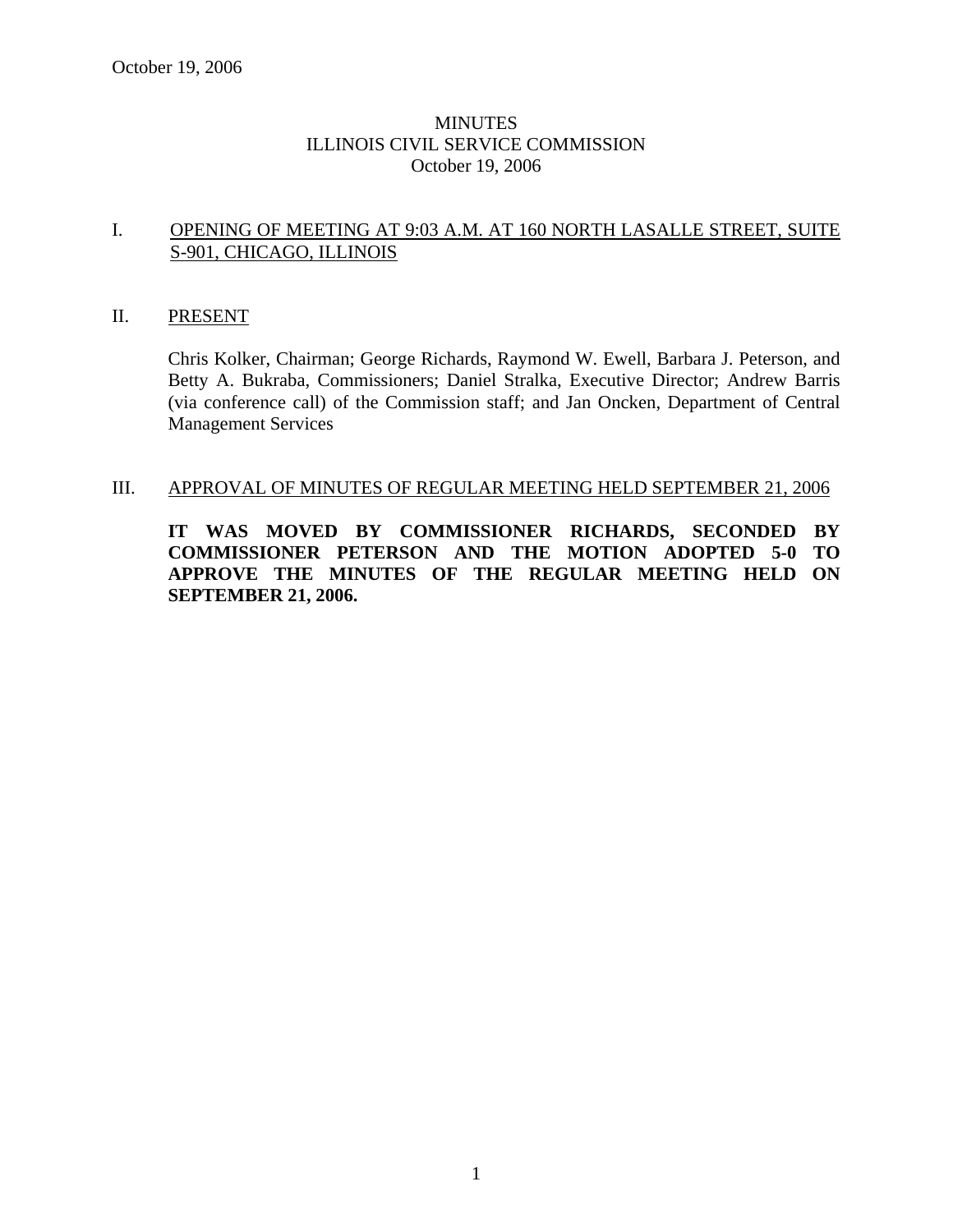## **MINUTES** ILLINOIS CIVIL SERVICE COMMISSION October 19, 2006

## I. OPENING OF MEETING AT 9:03 A.M. AT 160 NORTH LASALLE STREET, SUITE S-901, CHICAGO, ILLINOIS

### II. PRESENT

Chris Kolker, Chairman; George Richards, Raymond W. Ewell, Barbara J. Peterson, and Betty A. Bukraba, Commissioners; Daniel Stralka, Executive Director; Andrew Barris (via conference call) of the Commission staff; and Jan Oncken, Department of Central Management Services

#### III. APPROVAL OF MINUTES OF REGULAR MEETING HELD SEPTEMBER 21, 2006

**IT WAS MOVED BY COMMISSIONER RICHARDS, SECONDED BY COMMISSIONER PETERSON AND THE MOTION ADOPTED 5-0 TO APPROVE THE MINUTES OF THE REGULAR MEETING HELD ON SEPTEMBER 21, 2006.**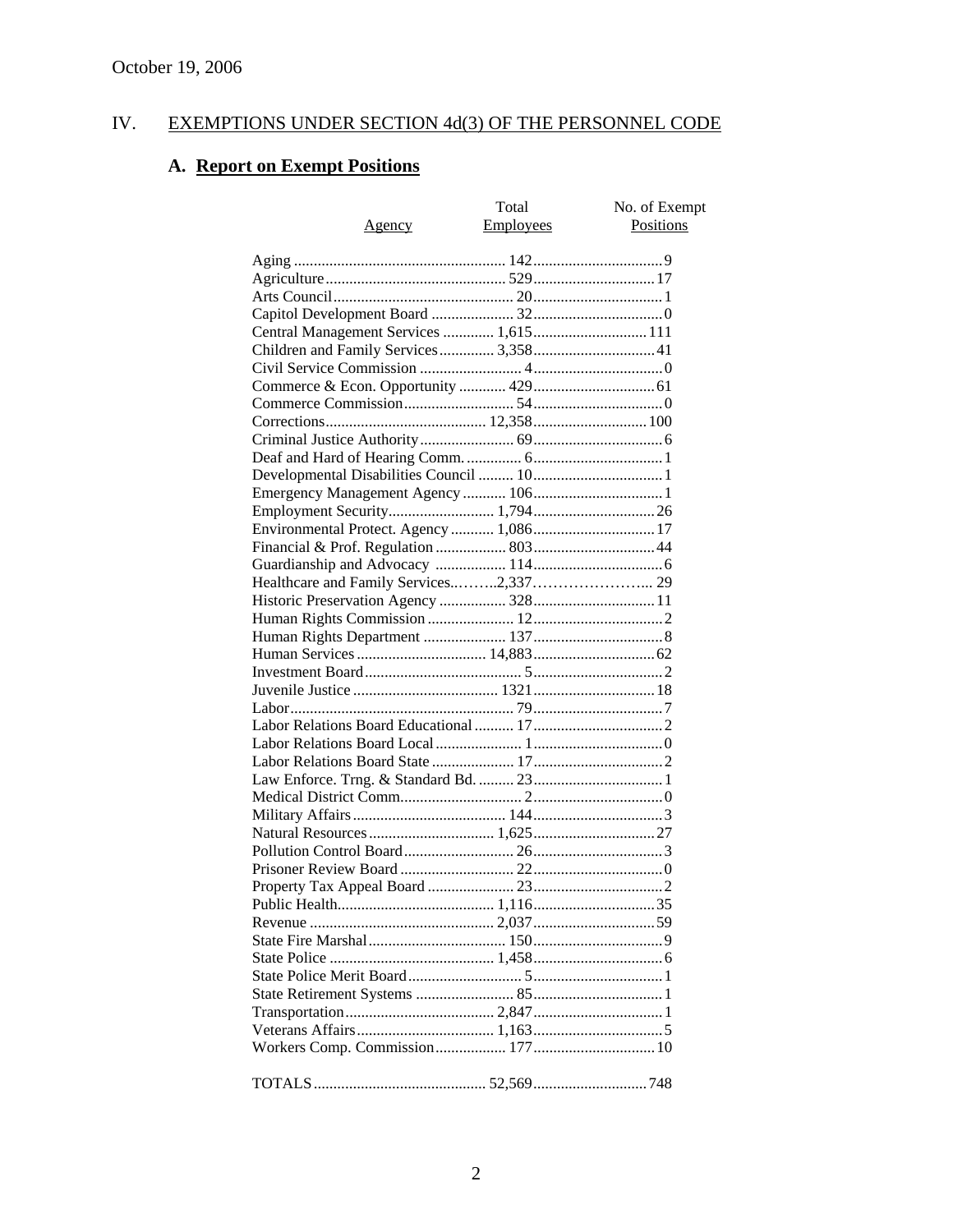# IV. EXEMPTIONS UNDER SECTION 4d(3) OF THE PERSONNEL CODE

# **A. Report on Exempt Positions**

| Agency                                  | Total<br>Employees | No. of Exempt<br>Positions |
|-----------------------------------------|--------------------|----------------------------|
|                                         |                    |                            |
|                                         |                    |                            |
|                                         |                    |                            |
|                                         |                    |                            |
| Central Management Services  1,615  111 |                    |                            |
| Children and Family Services 3,358 41   |                    |                            |
|                                         |                    |                            |
|                                         |                    |                            |
|                                         |                    |                            |
|                                         |                    |                            |
|                                         |                    |                            |
|                                         |                    |                            |
|                                         |                    |                            |
|                                         |                    |                            |
|                                         |                    |                            |
|                                         |                    |                            |
| Environmental Protect. Agency  1,086 17 |                    |                            |
|                                         |                    |                            |
|                                         |                    |                            |
|                                         |                    |                            |
|                                         |                    |                            |
|                                         |                    |                            |
|                                         |                    |                            |
|                                         |                    |                            |
|                                         |                    |                            |
|                                         |                    |                            |
|                                         |                    |                            |
|                                         |                    |                            |
|                                         |                    |                            |
|                                         |                    |                            |
|                                         |                    |                            |
|                                         |                    |                            |
|                                         |                    |                            |
|                                         |                    |                            |
|                                         |                    |                            |
|                                         |                    |                            |
|                                         |                    |                            |
|                                         |                    |                            |
|                                         |                    |                            |
|                                         |                    |                            |
|                                         |                    |                            |
|                                         |                    |                            |
|                                         |                    |                            |
|                                         |                    |                            |
|                                         |                    |                            |
|                                         |                    |                            |
|                                         |                    |                            |
|                                         |                    |                            |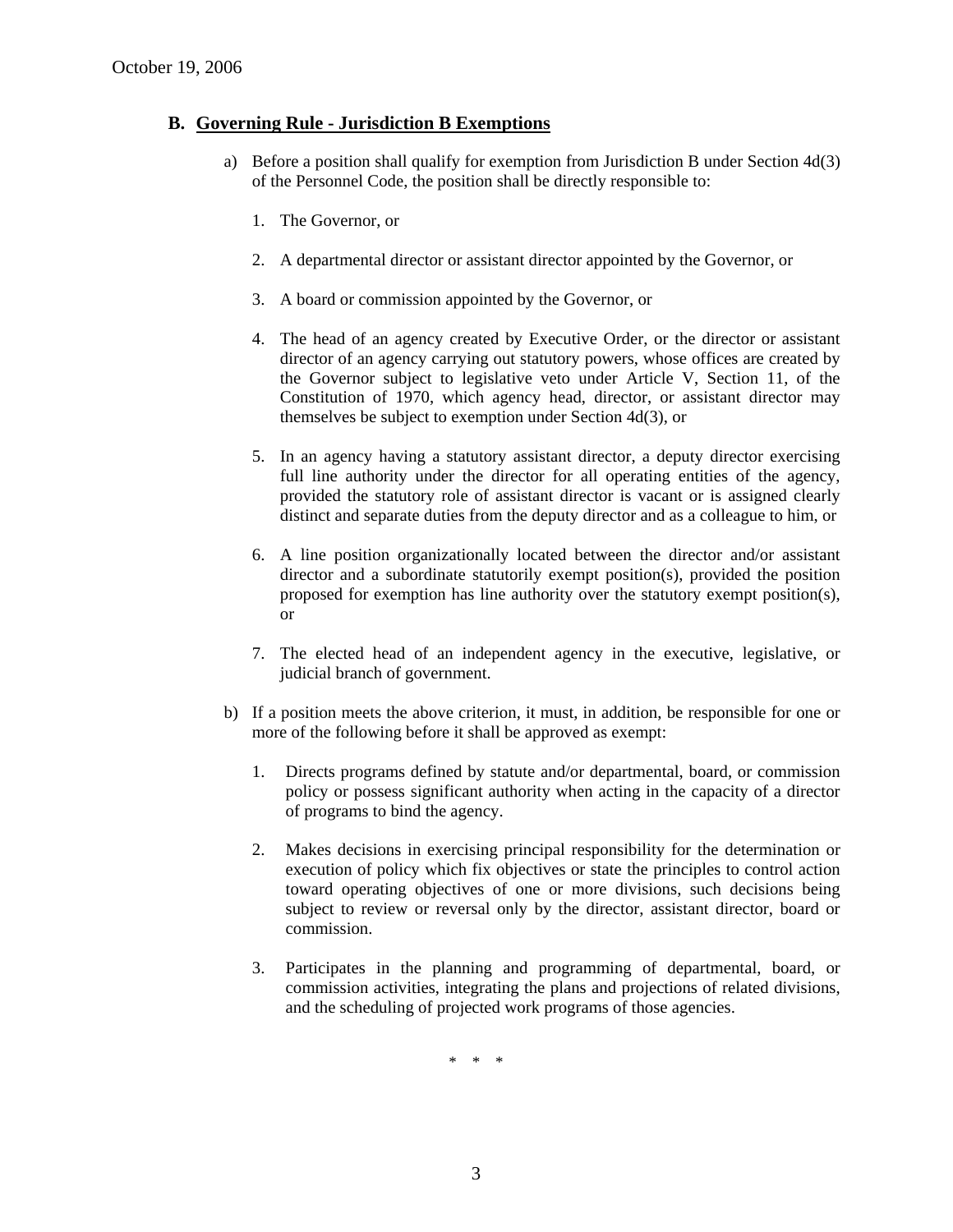### **B. Governing Rule - Jurisdiction B Exemptions**

- a) Before a position shall qualify for exemption from Jurisdiction B under Section 4d(3) of the Personnel Code, the position shall be directly responsible to:
	- 1. The Governor, or
	- 2. A departmental director or assistant director appointed by the Governor, or
	- 3. A board or commission appointed by the Governor, or
	- 4. The head of an agency created by Executive Order, or the director or assistant director of an agency carrying out statutory powers, whose offices are created by the Governor subject to legislative veto under Article V, Section 11, of the Constitution of 1970, which agency head, director, or assistant director may themselves be subject to exemption under Section 4d(3), or
	- 5. In an agency having a statutory assistant director, a deputy director exercising full line authority under the director for all operating entities of the agency, provided the statutory role of assistant director is vacant or is assigned clearly distinct and separate duties from the deputy director and as a colleague to him, or
	- 6. A line position organizationally located between the director and/or assistant director and a subordinate statutorily exempt position(s), provided the position proposed for exemption has line authority over the statutory exempt position(s), or
	- 7. The elected head of an independent agency in the executive, legislative, or judicial branch of government.
- b) If a position meets the above criterion, it must, in addition, be responsible for one or more of the following before it shall be approved as exempt:
	- 1. Directs programs defined by statute and/or departmental, board, or commission policy or possess significant authority when acting in the capacity of a director of programs to bind the agency.
	- 2. Makes decisions in exercising principal responsibility for the determination or execution of policy which fix objectives or state the principles to control action toward operating objectives of one or more divisions, such decisions being subject to review or reversal only by the director, assistant director, board or commission.
	- 3. Participates in the planning and programming of departmental, board, or commission activities, integrating the plans and projections of related divisions, and the scheduling of projected work programs of those agencies.

\* \* \*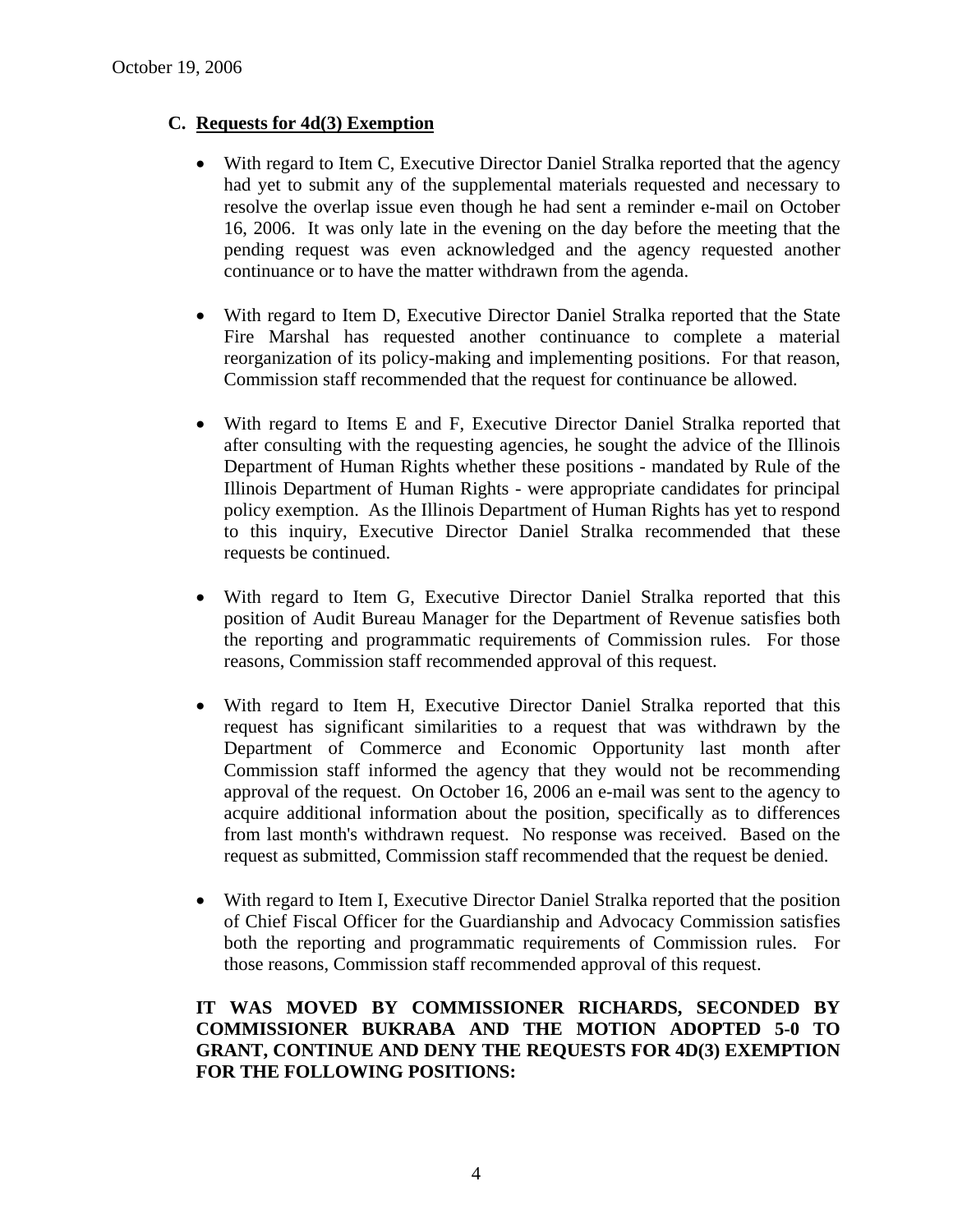# **C. Requests for 4d(3) Exemption**

- With regard to Item C, Executive Director Daniel Stralka reported that the agency had yet to submit any of the supplemental materials requested and necessary to resolve the overlap issue even though he had sent a reminder e-mail on October 16, 2006. It was only late in the evening on the day before the meeting that the pending request was even acknowledged and the agency requested another continuance or to have the matter withdrawn from the agenda.
- With regard to Item D, Executive Director Daniel Stralka reported that the State Fire Marshal has requested another continuance to complete a material reorganization of its policy-making and implementing positions. For that reason, Commission staff recommended that the request for continuance be allowed.
- With regard to Items E and F, Executive Director Daniel Stralka reported that after consulting with the requesting agencies, he sought the advice of the Illinois Department of Human Rights whether these positions - mandated by Rule of the Illinois Department of Human Rights - were appropriate candidates for principal policy exemption. As the Illinois Department of Human Rights has yet to respond to this inquiry, Executive Director Daniel Stralka recommended that these requests be continued.
- With regard to Item G, Executive Director Daniel Stralka reported that this position of Audit Bureau Manager for the Department of Revenue satisfies both the reporting and programmatic requirements of Commission rules. For those reasons, Commission staff recommended approval of this request.
- With regard to Item H, Executive Director Daniel Stralka reported that this request has significant similarities to a request that was withdrawn by the Department of Commerce and Economic Opportunity last month after Commission staff informed the agency that they would not be recommending approval of the request. On October 16, 2006 an e-mail was sent to the agency to acquire additional information about the position, specifically as to differences from last month's withdrawn request. No response was received. Based on the request as submitted, Commission staff recommended that the request be denied.
- With regard to Item I, Executive Director Daniel Stralka reported that the position of Chief Fiscal Officer for the Guardianship and Advocacy Commission satisfies both the reporting and programmatic requirements of Commission rules. For those reasons, Commission staff recommended approval of this request.

# **IT WAS MOVED BY COMMISSIONER RICHARDS, SECONDED BY COMMISSIONER BUKRABA AND THE MOTION ADOPTED 5-0 TO GRANT, CONTINUE AND DENY THE REQUESTS FOR 4D(3) EXEMPTION FOR THE FOLLOWING POSITIONS:**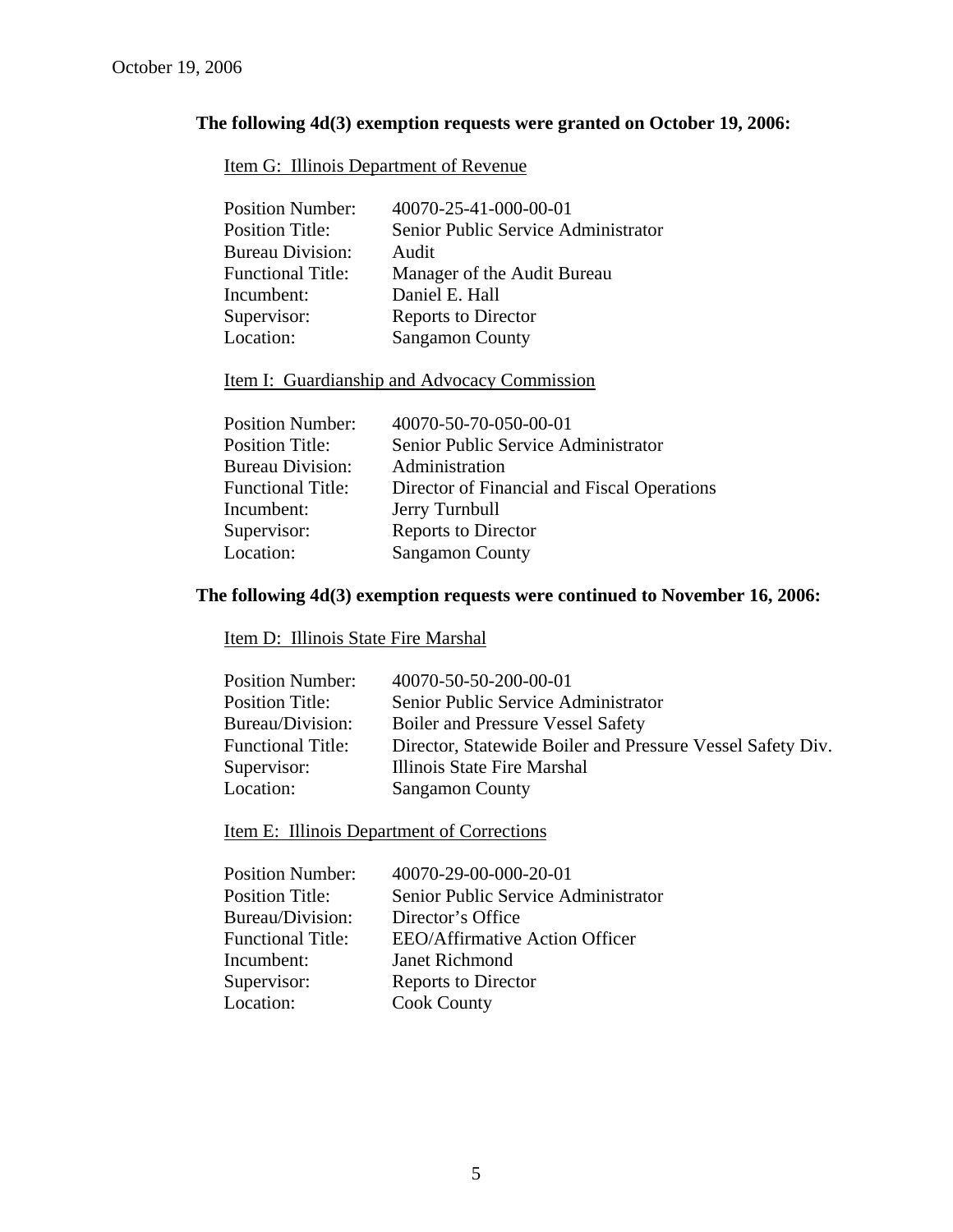# **The following 4d(3) exemption requests were granted on October 19, 2006:**

# Item G: Illinois Department of Revenue

| <b>Position Number:</b>  | 40070-25-41-000-00-01               |
|--------------------------|-------------------------------------|
| <b>Position Title:</b>   | Senior Public Service Administrator |
| <b>Bureau Division:</b>  | Audit                               |
| <b>Functional Title:</b> | Manager of the Audit Bureau         |
| Incumbent:               | Daniel E. Hall                      |
| Supervisor:              | Reports to Director                 |
| Location:                | <b>Sangamon County</b>              |

# Item I: Guardianship and Advocacy Commission

| <b>Position Number:</b>  | 40070-50-70-050-00-01                       |
|--------------------------|---------------------------------------------|
| <b>Position Title:</b>   | Senior Public Service Administrator         |
| <b>Bureau Division:</b>  | Administration                              |
| <b>Functional Title:</b> | Director of Financial and Fiscal Operations |
| Incumbent:               | Jerry Turnbull                              |
| Supervisor:              | <b>Reports to Director</b>                  |
| Location:                | <b>Sangamon County</b>                      |
|                          |                                             |

# **The following 4d(3) exemption requests were continued to November 16, 2006:**

# Item D: Illinois State Fire Marshal

| <b>Position Number:</b>  | 40070-50-50-200-00-01                                      |
|--------------------------|------------------------------------------------------------|
| <b>Position Title:</b>   | Senior Public Service Administrator                        |
| Bureau/Division:         | <b>Boiler and Pressure Vessel Safety</b>                   |
| <b>Functional Title:</b> | Director, Statewide Boiler and Pressure Vessel Safety Div. |
| Supervisor:              | Illinois State Fire Marshal                                |
| Location:                | <b>Sangamon County</b>                                     |

Item E: Illinois Department of Corrections

| <b>Position Number:</b>  | 40070-29-00-000-20-01                 |
|--------------------------|---------------------------------------|
| <b>Position Title:</b>   | Senior Public Service Administrator   |
| Bureau/Division:         | Director's Office                     |
| <b>Functional Title:</b> | <b>EEO/Affirmative Action Officer</b> |
| Incumbent:               | Janet Richmond                        |
| Supervisor:              | Reports to Director                   |
| Location:                | <b>Cook County</b>                    |
|                          |                                       |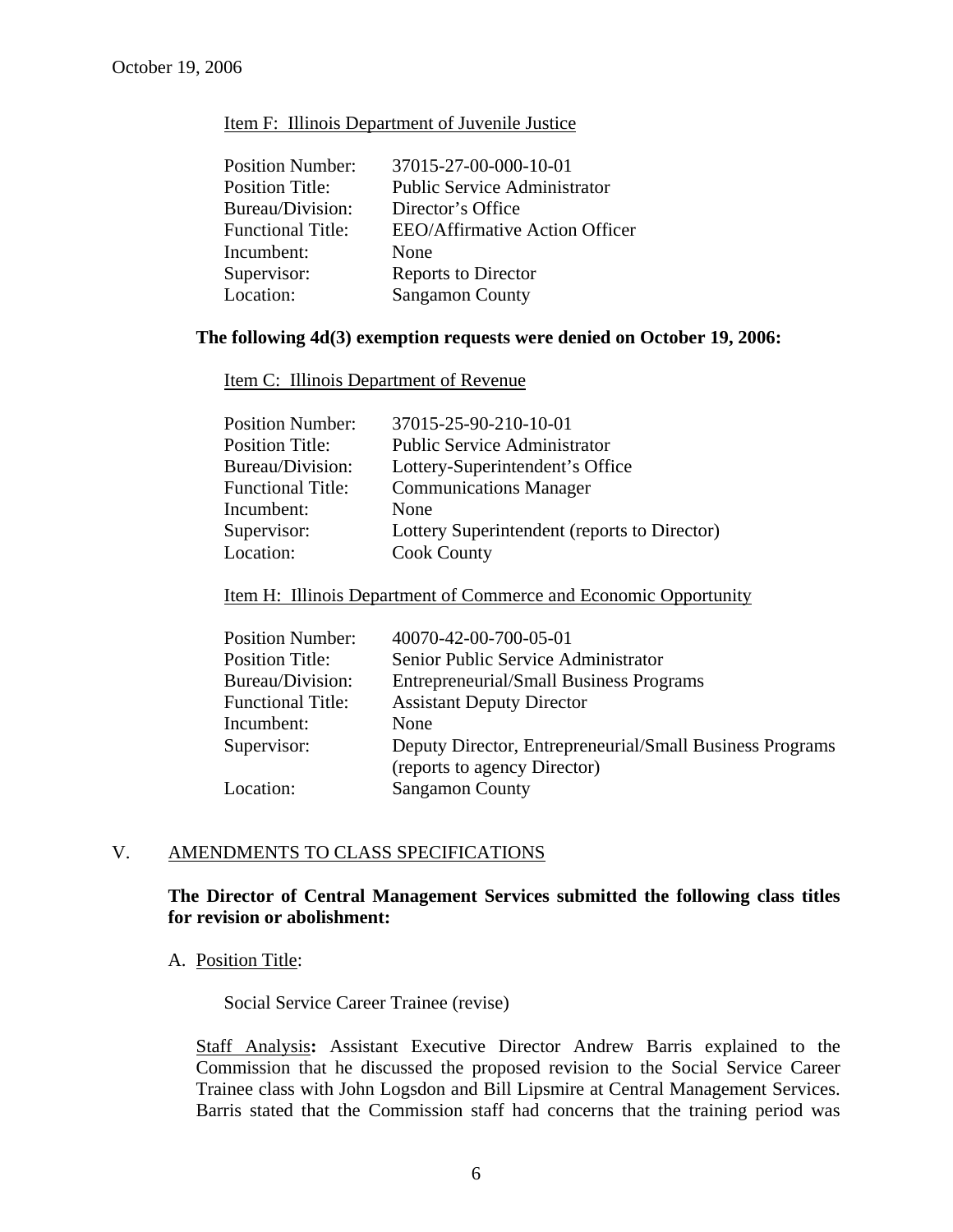#### Item F: Illinois Department of Juvenile Justice

| <b>Position Number:</b>  | 37015-27-00-000-10-01                 |
|--------------------------|---------------------------------------|
| <b>Position Title:</b>   | <b>Public Service Administrator</b>   |
| Bureau/Division:         | Director's Office                     |
| <b>Functional Title:</b> | <b>EEO/Affirmative Action Officer</b> |
| Incumbent:               | None                                  |
| Supervisor:              | Reports to Director                   |
| Location:                | <b>Sangamon County</b>                |

# **The following 4d(3) exemption requests were denied on October 19, 2006:**

Item C: Illinois Department of Revenue

| Lottery Superintendent (reports to Director) |
|----------------------------------------------|
|                                              |
|                                              |

#### Item H: Illinois Department of Commerce and Economic Opportunity

| <b>Position Number:</b>  | 40070-42-00-700-05-01                                    |
|--------------------------|----------------------------------------------------------|
| <b>Position Title:</b>   | Senior Public Service Administrator                      |
| Bureau/Division:         | <b>Entrepreneurial/Small Business Programs</b>           |
| <b>Functional Title:</b> | <b>Assistant Deputy Director</b>                         |
| Incumbent:               | None                                                     |
| Supervisor:              | Deputy Director, Entrepreneurial/Small Business Programs |
|                          | (reports to agency Director)                             |
| Location:                | <b>Sangamon County</b>                                   |
|                          |                                                          |

# V. AMENDMENTS TO CLASS SPECIFICATIONS

## **The Director of Central Management Services submitted the following class titles for revision or abolishment:**

### A. Position Title:

Social Service Career Trainee (revise)

Staff Analysis**:** Assistant Executive Director Andrew Barris explained to the Commission that he discussed the proposed revision to the Social Service Career Trainee class with John Logsdon and Bill Lipsmire at Central Management Services. Barris stated that the Commission staff had concerns that the training period was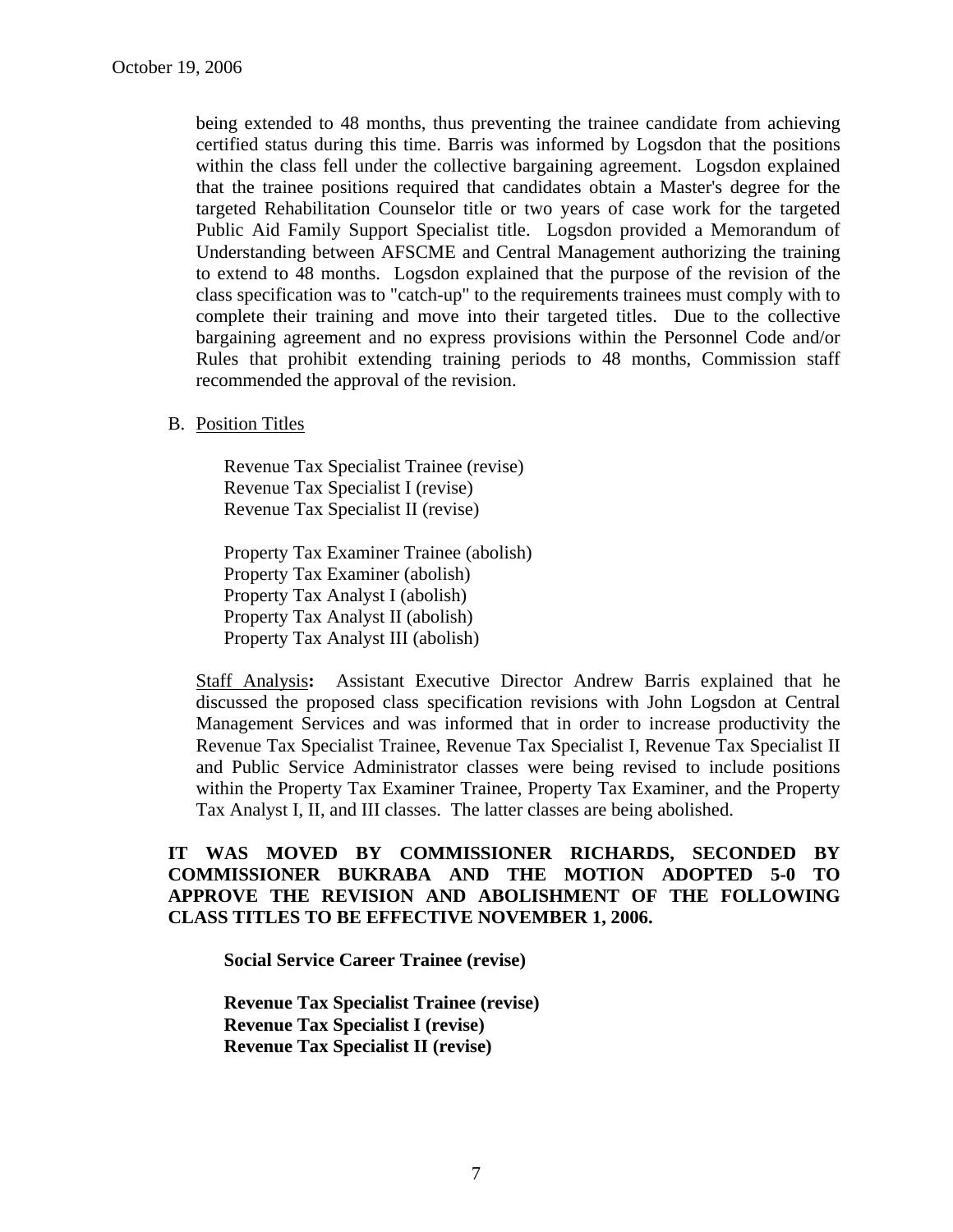being extended to 48 months, thus preventing the trainee candidate from achieving certified status during this time. Barris was informed by Logsdon that the positions within the class fell under the collective bargaining agreement. Logsdon explained that the trainee positions required that candidates obtain a Master's degree for the targeted Rehabilitation Counselor title or two years of case work for the targeted Public Aid Family Support Specialist title. Logsdon provided a Memorandum of Understanding between AFSCME and Central Management authorizing the training to extend to 48 months. Logsdon explained that the purpose of the revision of the class specification was to "catch-up" to the requirements trainees must comply with to complete their training and move into their targeted titles. Due to the collective bargaining agreement and no express provisions within the Personnel Code and/or Rules that prohibit extending training periods to 48 months, Commission staff recommended the approval of the revision.

B. Position Titles

Revenue Tax Specialist Trainee (revise) Revenue Tax Specialist I (revise) Revenue Tax Specialist II (revise)

Property Tax Examiner Trainee (abolish) Property Tax Examiner (abolish) Property Tax Analyst I (abolish) Property Tax Analyst II (abolish) Property Tax Analyst III (abolish)

Staff Analysis**:** Assistant Executive Director Andrew Barris explained that he discussed the proposed class specification revisions with John Logsdon at Central Management Services and was informed that in order to increase productivity the Revenue Tax Specialist Trainee, Revenue Tax Specialist I, Revenue Tax Specialist II and Public Service Administrator classes were being revised to include positions within the Property Tax Examiner Trainee, Property Tax Examiner, and the Property Tax Analyst I, II, and III classes. The latter classes are being abolished.

# **IT WAS MOVED BY COMMISSIONER RICHARDS, SECONDED BY COMMISSIONER BUKRABA AND THE MOTION ADOPTED 5-0 TO APPROVE THE REVISION AND ABOLISHMENT OF THE FOLLOWING CLASS TITLES TO BE EFFECTIVE NOVEMBER 1, 2006.**

**Social Service Career Trainee (revise)** 

**Revenue Tax Specialist Trainee (revise) Revenue Tax Specialist I (revise) Revenue Tax Specialist II (revise)**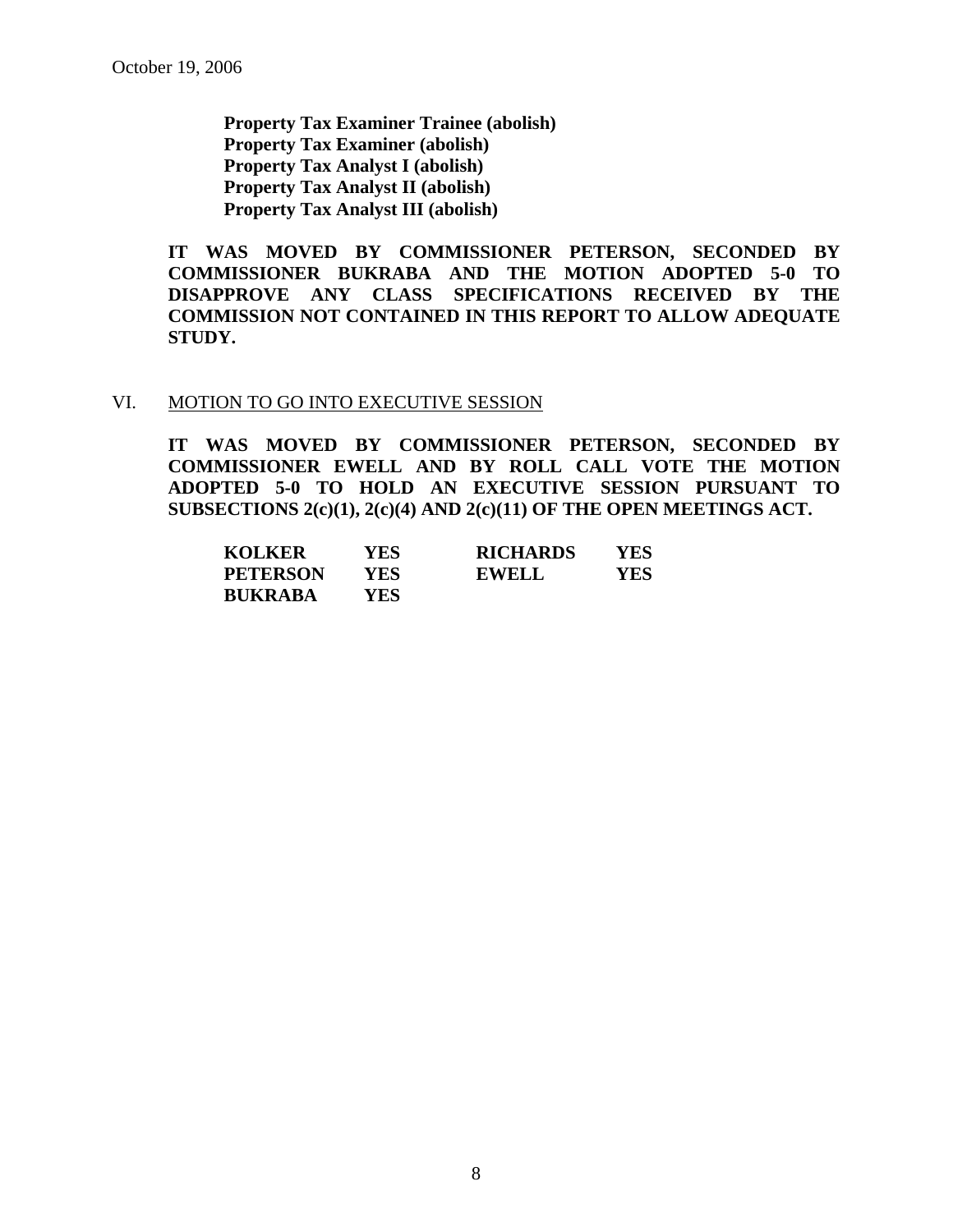**Property Tax Examiner Trainee (abolish) Property Tax Examiner (abolish) Property Tax Analyst I (abolish) Property Tax Analyst II (abolish) Property Tax Analyst III (abolish)** 

**IT WAS MOVED BY COMMISSIONER PETERSON, SECONDED BY COMMISSIONER BUKRABA AND THE MOTION ADOPTED 5-0 TO DISAPPROVE ANY CLASS SPECIFICATIONS RECEIVED BY THE COMMISSION NOT CONTAINED IN THIS REPORT TO ALLOW ADEQUATE STUDY.** 

#### VI. MOTION TO GO INTO EXECUTIVE SESSION

**IT WAS MOVED BY COMMISSIONER PETERSON, SECONDED BY COMMISSIONER EWELL AND BY ROLL CALL VOTE THE MOTION ADOPTED 5-0 TO HOLD AN EXECUTIVE SESSION PURSUANT TO SUBSECTIONS 2(c)(1), 2(c)(4) AND 2(c)(11) OF THE OPEN MEETINGS ACT.** 

| <b>KOLKER</b>   | YES | <b>RICHARDS</b> | YES |
|-----------------|-----|-----------------|-----|
| <b>PETERSON</b> | YES | <b>EWELL</b>    | YES |
| <b>BUKRABA</b>  | YES |                 |     |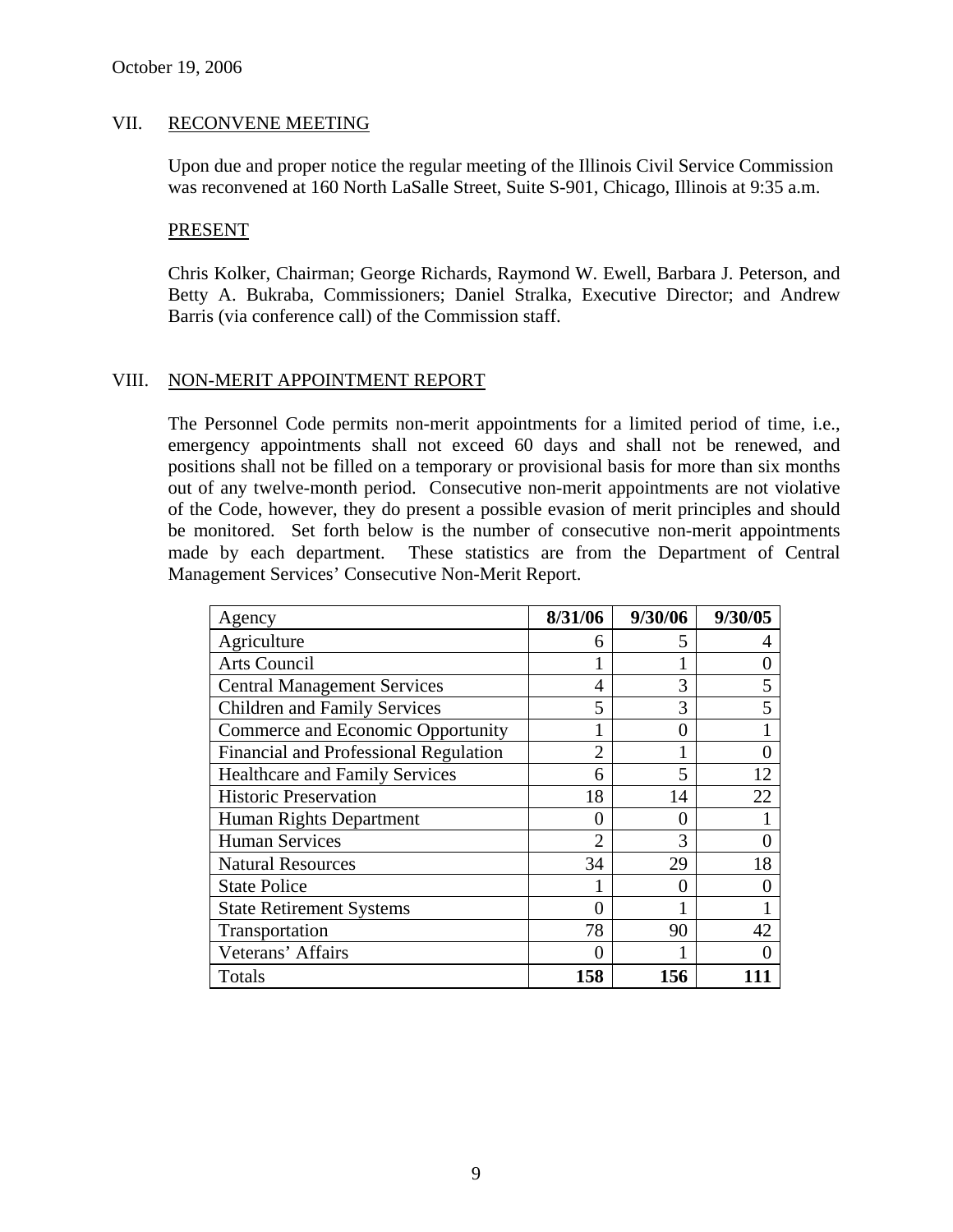### VII. RECONVENE MEETING

Upon due and proper notice the regular meeting of the Illinois Civil Service Commission was reconvened at 160 North LaSalle Street, Suite S-901, Chicago, Illinois at 9:35 a.m.

#### PRESENT

Chris Kolker, Chairman; George Richards, Raymond W. Ewell, Barbara J. Peterson, and Betty A. Bukraba, Commissioners; Daniel Stralka, Executive Director; and Andrew Barris (via conference call) of the Commission staff.

### VIII. NON-MERIT APPOINTMENT REPORT

The Personnel Code permits non-merit appointments for a limited period of time, i.e., emergency appointments shall not exceed 60 days and shall not be renewed, and positions shall not be filled on a temporary or provisional basis for more than six months out of any twelve-month period. Consecutive non-merit appointments are not violative of the Code, however, they do present a possible evasion of merit principles and should be monitored. Set forth below is the number of consecutive non-merit appointments made by each department. These statistics are from the Department of Central Management Services' Consecutive Non-Merit Report.

| Agency                                       | 8/31/06        | 9/30/06 | 9/30/05 |
|----------------------------------------------|----------------|---------|---------|
| Agriculture                                  | 6              | 5       |         |
| Arts Council                                 |                |         |         |
| <b>Central Management Services</b>           | 4              | 3       | 5       |
| <b>Children and Family Services</b>          | 5              | 3       | 5       |
| Commerce and Economic Opportunity            |                | 0       |         |
| <b>Financial and Professional Regulation</b> | $\overline{2}$ |         |         |
| <b>Healthcare and Family Services</b>        | 6              | 5       | 12      |
| <b>Historic Preservation</b>                 | 18             | 14      | 22      |
| Human Rights Department                      | $\theta$       | 0       |         |
| <b>Human Services</b>                        | $\overline{2}$ | 3       |         |
| <b>Natural Resources</b>                     | 34             | 29      | 18      |
| <b>State Police</b>                          |                |         |         |
| <b>State Retirement Systems</b>              |                |         |         |
| Transportation                               | 78             | 90      | 42      |
| Veterans' Affairs                            | 0              |         |         |
| Totals                                       | 158            | 156     |         |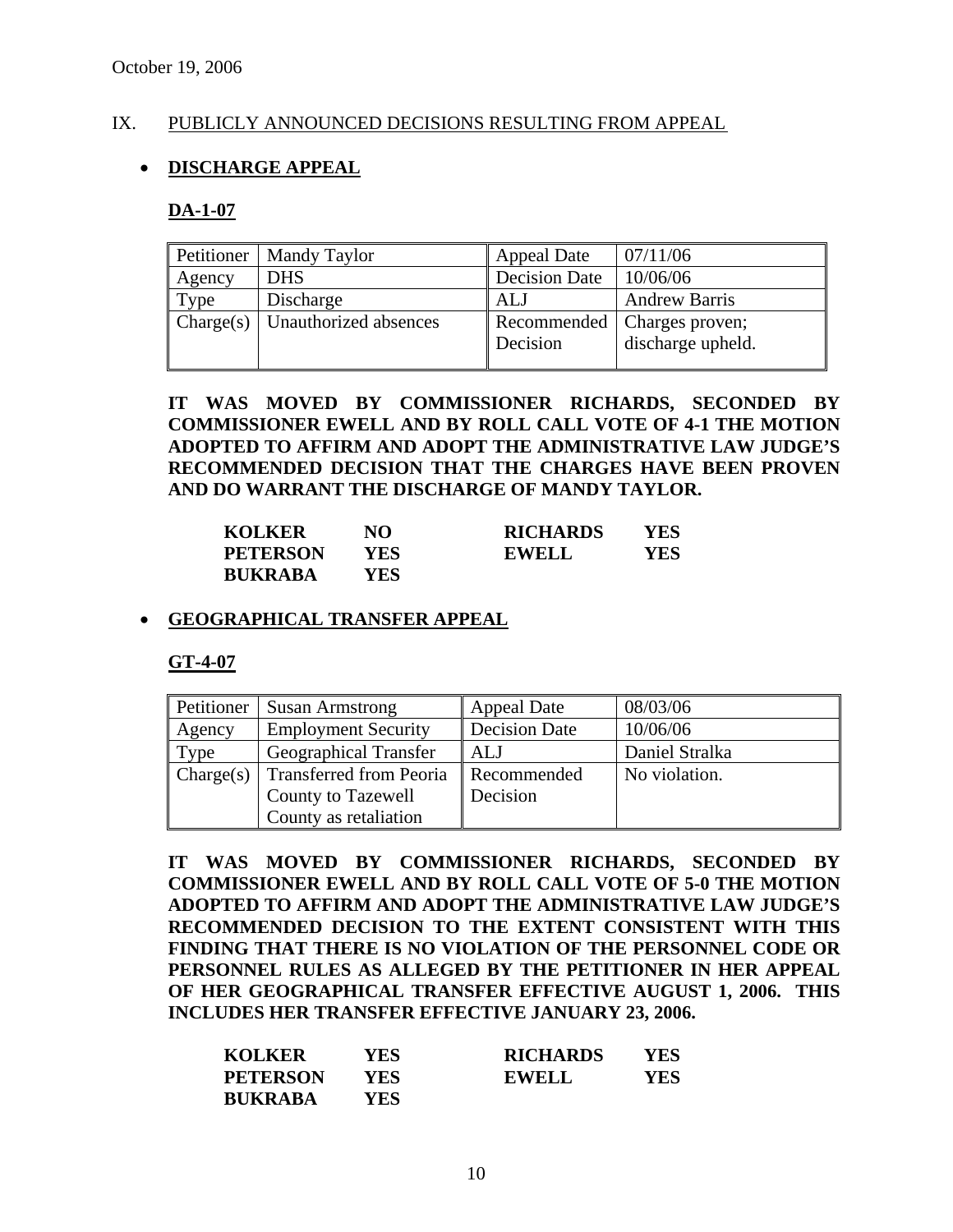### IX. PUBLICLY ANNOUNCED DECISIONS RESULTING FROM APPEAL

# • **DISCHARGE APPEAL**

### **DA-1-07**

| Petitioner | <b>Mandy Taylor</b>   | <b>Appeal Date</b>   | 07/11/06                                           |
|------------|-----------------------|----------------------|----------------------------------------------------|
| Agency     | <b>DHS</b>            | <b>Decision Date</b> | 10/06/06                                           |
| Type       | Discharge             | <b>ALJ</b>           | <b>Andrew Barris</b>                               |
| Change(s)  | Unauthorized absences | Decision             | Recommended   Charges proven;<br>discharge upheld. |

# **IT WAS MOVED BY COMMISSIONER RICHARDS, SECONDED BY COMMISSIONER EWELL AND BY ROLL CALL VOTE OF 4-1 THE MOTION ADOPTED TO AFFIRM AND ADOPT THE ADMINISTRATIVE LAW JUDGE'S RECOMMENDED DECISION THAT THE CHARGES HAVE BEEN PROVEN AND DO WARRANT THE DISCHARGE OF MANDY TAYLOR.**

| <b>KOLKER</b>   | NO   | <b>RICHARDS</b> | YES |
|-----------------|------|-----------------|-----|
| <b>PETERSON</b> | YES. | EWELL           | YES |
| <b>BUKRABA</b>  | YES  |                 |     |

### • **GEOGRAPHICAL TRANSFER APPEAL**

**GT-4-07**

| Petitioner | <b>Susan Armstrong</b>       | <b>Appeal Date</b>   | 08/03/06       |
|------------|------------------------------|----------------------|----------------|
| Agency     | <b>Employment Security</b>   | <b>Decision Date</b> | 10/06/06       |
| Type       | <b>Geographical Transfer</b> | <b>ALJ</b>           | Daniel Stralka |
| Change(s)  | Transferred from Peoria      | Recommended          | No violation.  |
|            | <b>County to Tazewell</b>    | Decision             |                |
|            | County as retaliation        |                      |                |

**IT WAS MOVED BY COMMISSIONER RICHARDS, SECONDED BY COMMISSIONER EWELL AND BY ROLL CALL VOTE OF 5-0 THE MOTION ADOPTED TO AFFIRM AND ADOPT THE ADMINISTRATIVE LAW JUDGE'S RECOMMENDED DECISION TO THE EXTENT CONSISTENT WITH THIS FINDING THAT THERE IS NO VIOLATION OF THE PERSONNEL CODE OR PERSONNEL RULES AS ALLEGED BY THE PETITIONER IN HER APPEAL OF HER GEOGRAPHICAL TRANSFER EFFECTIVE AUGUST 1, 2006. THIS INCLUDES HER TRANSFER EFFECTIVE JANUARY 23, 2006.** 

| <b>KOLKER</b>   | YES | <b>RICHARDS</b> | YES |
|-----------------|-----|-----------------|-----|
| <b>PETERSON</b> | YES | <b>EWELL</b>    | YES |
| <b>BUKRABA</b>  | YES |                 |     |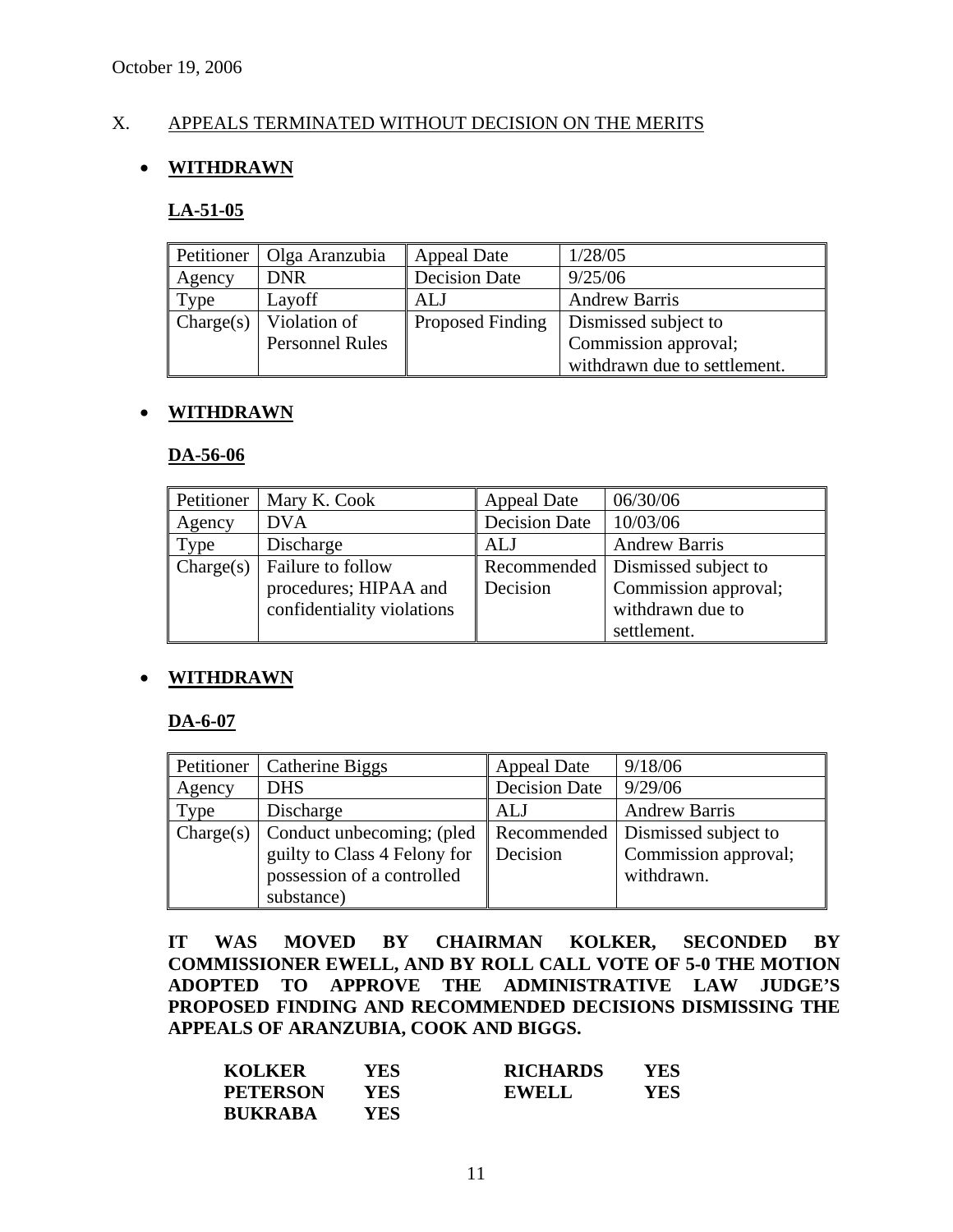# X. APPEALS TERMINATED WITHOUT DECISION ON THE MERITS

# • **WITHDRAWN**

#### **LA-51-05**

| Petitioner | Olga Aranzubia         | <b>Appeal Date</b>   | 1/28/05                      |
|------------|------------------------|----------------------|------------------------------|
| Agency     | <b>DNR</b>             | <b>Decision Date</b> | 9/25/06                      |
| Type       | Layoff                 | ALJ                  | <b>Andrew Barris</b>         |
| Change(s)  | Violation of           | Proposed Finding     | Dismissed subject to         |
|            | <b>Personnel Rules</b> |                      | Commission approval;         |
|            |                        |                      | withdrawn due to settlement. |

### • **WITHDRAWN**

#### **DA-56-06**

| Petitioner | Mary K. Cook               | <b>Appeal Date</b> | 06/30/06                           |
|------------|----------------------------|--------------------|------------------------------------|
| Agency     | <b>DVA</b>                 | Decision Date      | 10/03/06                           |
| Type       | Discharge                  | <b>ALJ</b>         | <b>Andrew Barris</b>               |
| Change(s)  | Failure to follow          |                    | Recommended   Dismissed subject to |
|            | procedures; HIPAA and      | Decision           | Commission approval;               |
|            | confidentiality violations |                    | withdrawn due to                   |
|            |                            |                    | settlement.                        |

### • **WITHDRAWN**

### **DA-6-07**

|        | Petitioner   Catherine Biggs                      | <b>Appeal Date</b>   | 9/18/06                            |
|--------|---------------------------------------------------|----------------------|------------------------------------|
| Agency | <b>DHS</b>                                        | <b>Decision Date</b> | 9/29/06                            |
| Type   | Discharge                                         | ALJ                  | <b>Andrew Barris</b>               |
|        | $\Box$ Charge(s) $\Box$ Conduct unbecoming; (pled |                      | Recommended   Dismissed subject to |
|        | guilty to Class 4 Felony for                      | Decision             | Commission approval;               |
|        | possession of a controlled                        |                      | withdrawn.                         |
|        | substance)                                        |                      |                                    |

**IT WAS MOVED BY CHAIRMAN KOLKER, SECONDED BY COMMISSIONER EWELL, AND BY ROLL CALL VOTE OF 5-0 THE MOTION ADOPTED TO APPROVE THE ADMINISTRATIVE LAW JUDGE'S PROPOSED FINDING AND RECOMMENDED DECISIONS DISMISSING THE APPEALS OF ARANZUBIA, COOK AND BIGGS.** 

| <b>KOLKER</b>   | YES | <b>RICHARDS</b> | YES |
|-----------------|-----|-----------------|-----|
| <b>PETERSON</b> | YES | <b>EWELL</b>    | YES |
| <b>BUKRABA</b>  | YES |                 |     |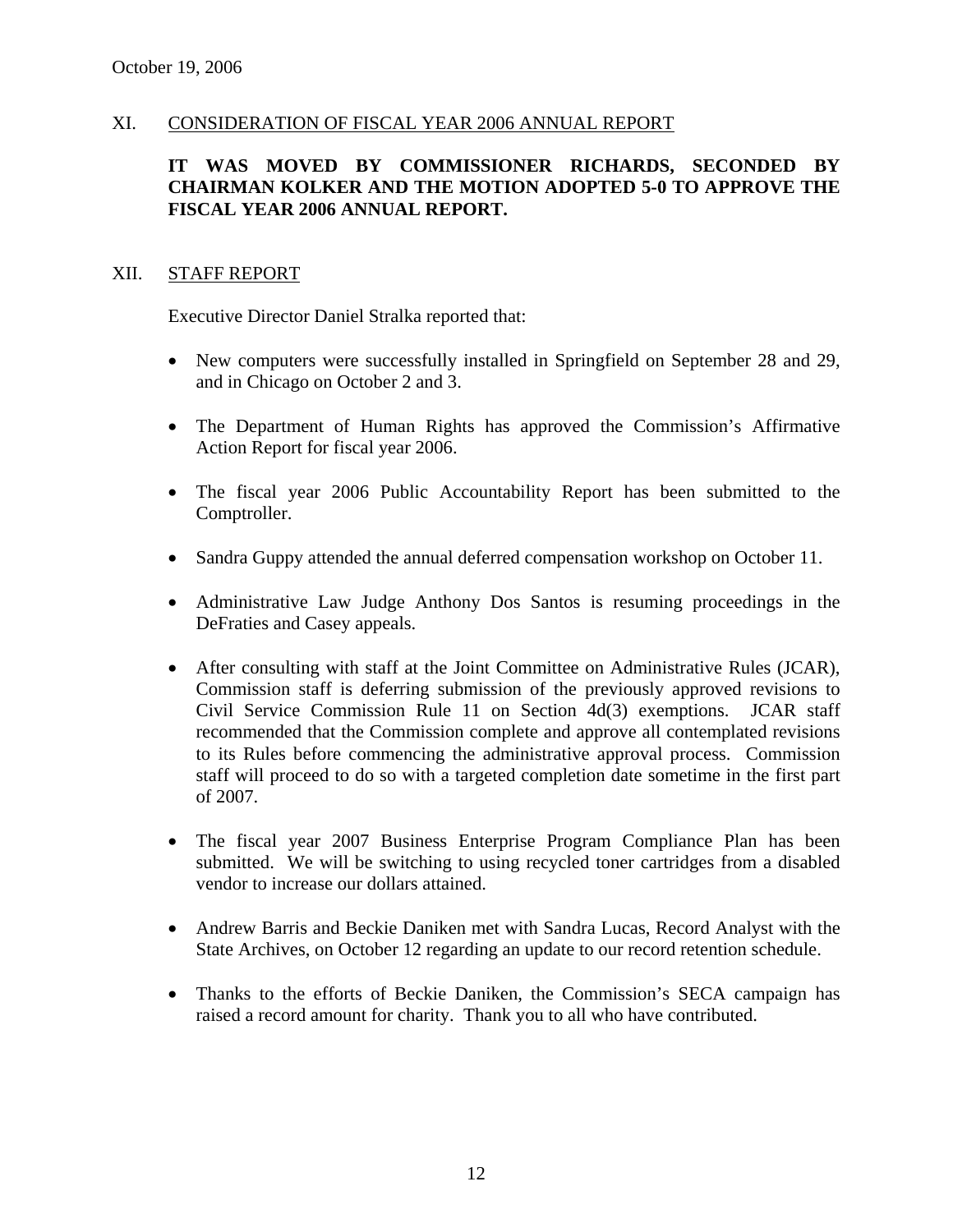### XI. CONSIDERATION OF FISCAL YEAR 2006 ANNUAL REPORT

## **IT WAS MOVED BY COMMISSIONER RICHARDS, SECONDED BY CHAIRMAN KOLKER AND THE MOTION ADOPTED 5-0 TO APPROVE THE FISCAL YEAR 2006 ANNUAL REPORT.**

#### XII. STAFF REPORT

Executive Director Daniel Stralka reported that:

- New computers were successfully installed in Springfield on September 28 and 29, and in Chicago on October 2 and 3.
- The Department of Human Rights has approved the Commission's Affirmative Action Report for fiscal year 2006.
- The fiscal year 2006 Public Accountability Report has been submitted to the Comptroller.
- Sandra Guppy attended the annual deferred compensation workshop on October 11.
- Administrative Law Judge Anthony Dos Santos is resuming proceedings in the DeFraties and Casey appeals.
- After consulting with staff at the Joint Committee on Administrative Rules (JCAR), Commission staff is deferring submission of the previously approved revisions to Civil Service Commission Rule 11 on Section 4d(3) exemptions. JCAR staff recommended that the Commission complete and approve all contemplated revisions to its Rules before commencing the administrative approval process. Commission staff will proceed to do so with a targeted completion date sometime in the first part of 2007.
- The fiscal year 2007 Business Enterprise Program Compliance Plan has been submitted. We will be switching to using recycled toner cartridges from a disabled vendor to increase our dollars attained.
- Andrew Barris and Beckie Daniken met with Sandra Lucas, Record Analyst with the State Archives, on October 12 regarding an update to our record retention schedule.
- Thanks to the efforts of Beckie Daniken, the Commission's SECA campaign has raised a record amount for charity. Thank you to all who have contributed.